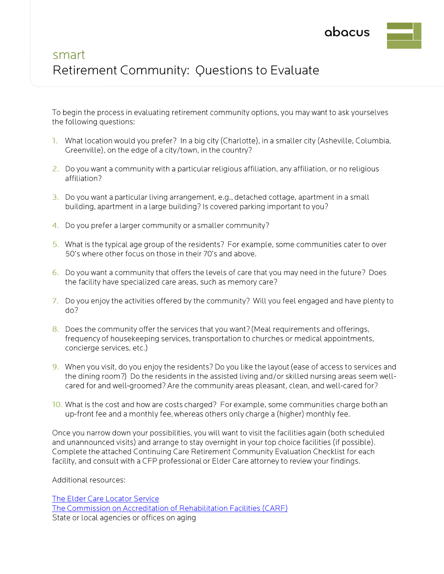

# smart Retirement Community: Questions to Evaluate

To begin the process in evaluating retirement community options, you may want to ask yourselves the following questions:

- What location would you prefer? In <sup>a</sup> big city (Charlotte), in <sup>a</sup> smaller city (Asheville, Columbia Greenville), on the edge of <sup>a</sup> city/town, in the country?
- 2. Do you want <sup>a</sup> community with <sup>a</sup> particular religious affiliation, any affiliation, or no religious affiliation?
- 3. Do you want <sup>a</sup> particular living arrangement, e.g., detached cottage, apartment in <sup>a</sup> small building, apartment in <sup>a</sup> large building? Is covered parking important to you?
- 4. Do you prefer <sup>a</sup> larger community or <sup>a</sup> smaller community?
- 5. What is the typical age group of the residents? For example, some communities cater to over 50's where other focus on those in their 70's and above.
- 6. Do you want <sup>a</sup> community that offers the levels of care that you may need in the future? Does the facility have specialized care areas, such as memory care?
- 7. Do you enjoy the activities offered by the community? Will you feel engaged and have plenty to do?
- 8. Does the community offer the services that you want? (Meal requirements and offerings, frequency of housekeeping services, transportation to churches or medical appointments, concierge services, etc.)
- 9. When you visit, do you enjoy the residents? Do you like the layout (ease of access to services and the dining room?) Do the residents in the assisted living and/or skilled nursing areas seem wellcared for and well-groomed? Are the community areas pleasant, clean, and well-cared for?
- 10. What is the cost and how are costs charged? For example, some communities charge both an up-front fee and <sup>a</sup> monthly fee, whereas others only charge <sup>a</sup> (higher) monthly fee.

Once you narrow down your possibilities, you will want to visit the facilities again (both scheduled and unannounced visits) and arrange to stay overnight in your top choice facilities (if possible). Complete the attached Continuing Care Retirement Community Evaluation Checklist for each facility, and consult with <sup>a</sup> CFP professional or Elder Care attorney to reviewyour findings.

Additional resources:

The Elder Care [Locator](http://www.eldercare.gov/Eldercare.NET/Public/Index.aspx) Service The Commission on Accreditation of [Rehabilitation](http://www.carf.org/ccrcListing.aspx) Facilities (CARF) State or local agencies or offices on aging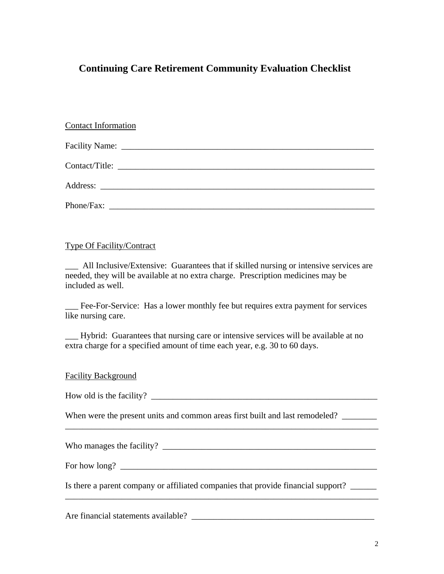## **Continuing Care Retirement Community Evaluation Checklist**

| <b>Contact Information</b> |
|----------------------------|
|                            |
|                            |
|                            |
|                            |

#### Type Of Facility/Contract

\_\_\_ All Inclusive/Extensive: Guarantees that if skilled nursing or intensive services are needed, they will be available at no extra charge. Prescription medicines may be included as well.

\_\_\_ Fee-For-Service: Has a lower monthly fee but requires extra payment for services like nursing care.

\_\_\_ Hybrid: Guarantees that nursing care or intensive services will be available at no extra charge for a specified amount of time each year, e.g. 30 to 60 days.

#### Facility Background

How old is the facility?

When were the present units and common areas first built and last remodeled? \_\_\_\_\_\_\_\_

\_\_\_\_\_\_\_\_\_\_\_\_\_\_\_\_\_\_\_\_\_\_\_\_\_\_\_\_\_\_\_\_\_\_\_\_\_\_\_\_\_\_\_\_\_\_\_\_\_\_\_\_\_\_\_\_\_\_\_\_\_\_\_\_\_\_\_\_\_\_\_\_

\_\_\_\_\_\_\_\_\_\_\_\_\_\_\_\_\_\_\_\_\_\_\_\_\_\_\_\_\_\_\_\_\_\_\_\_\_\_\_\_\_\_\_\_\_\_\_\_\_\_\_\_\_\_\_\_\_\_\_\_\_\_\_\_\_\_\_\_\_\_\_\_

Who manages the facility? \_\_\_\_\_\_\_\_\_\_\_\_\_\_\_\_\_\_\_\_\_\_\_\_\_\_\_\_\_\_\_\_\_\_\_\_\_\_\_\_\_\_\_\_\_\_\_\_\_

For how long?  $\Box$ 

Is there a parent company or affiliated companies that provide financial support?

Are financial statements available? \_\_\_\_\_\_\_\_\_\_\_\_\_\_\_\_\_\_\_\_\_\_\_\_\_\_\_\_\_\_\_\_\_\_\_\_\_\_\_\_\_\_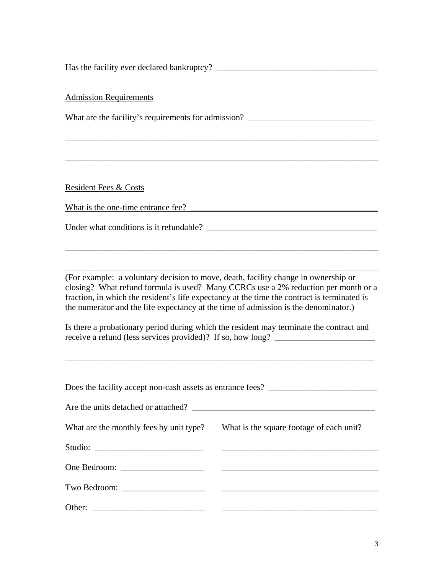Has the facility ever declared bankruptcy? \_\_\_\_\_\_\_\_\_\_\_\_\_\_\_\_\_\_\_\_\_\_\_\_\_\_\_\_\_\_\_\_\_\_\_\_\_

Admission Requirements

What are the facility's requirements for admission? \_\_\_\_\_\_\_\_\_\_\_\_\_\_\_\_\_\_\_\_\_\_\_\_\_\_\_\_

\_\_\_\_\_\_\_\_\_\_\_\_\_\_\_\_\_\_\_\_\_\_\_\_\_\_\_\_\_\_\_\_\_\_\_\_\_\_\_\_\_\_\_\_\_\_\_\_\_\_\_\_\_\_\_\_\_\_\_\_\_\_\_\_\_\_\_\_\_\_\_\_

\_\_\_\_\_\_\_\_\_\_\_\_\_\_\_\_\_\_\_\_\_\_\_\_\_\_\_\_\_\_\_\_\_\_\_\_\_\_\_\_\_\_\_\_\_\_\_\_\_\_\_\_\_\_\_\_\_\_\_\_\_\_\_\_\_\_\_\_\_\_\_\_

Resident Fees & Costs

What is the one-time entrance fee? \_\_\_\_\_\_\_\_\_\_\_\_\_\_\_\_\_\_\_\_\_\_\_\_\_\_\_\_\_\_\_\_\_\_\_\_\_\_\_\_\_\_\_

Under what conditions is it refundable?

(For example: a voluntary decision to move, death, facility change in ownership or closing? What refund formula is used? Many CCRCs use a 2% reduction per month or a fraction, in which the resident's life expectancy at the time the contract is terminated is the numerator and the life expectancy at the time of admission is the denominator.)

\_\_\_\_\_\_\_\_\_\_\_\_\_\_\_\_\_\_\_\_\_\_\_\_\_\_\_\_\_\_\_\_\_\_\_\_\_\_\_\_\_\_\_\_\_\_\_\_\_\_\_\_\_\_\_\_\_\_\_\_\_\_\_\_\_\_\_\_\_\_\_\_

\_\_\_\_\_\_\_\_\_\_\_\_\_\_\_\_\_\_\_\_\_\_\_\_\_\_\_\_\_\_\_\_\_\_\_\_\_\_\_\_\_\_\_\_\_\_\_\_\_\_\_\_\_\_\_\_\_\_\_\_\_\_\_\_\_\_\_\_\_\_\_\_

Is there a probationary period during which the resident may terminate the contract and receive a refund (less services provided)? If so, how long? \_\_\_\_\_\_\_\_\_\_\_\_\_\_\_\_\_\_\_\_\_

| What are the monthly fees by unit type? What is the square footage of each unit? |
|----------------------------------------------------------------------------------|
|                                                                                  |
|                                                                                  |
|                                                                                  |
|                                                                                  |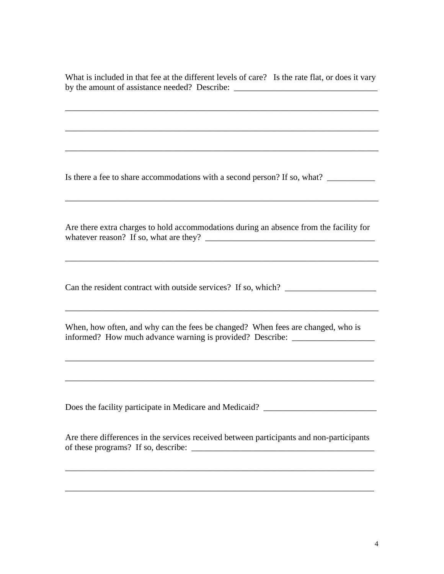What is included in that fee at the different levels of care? Is the rate flat, or does it vary by the amount of assistance needed? Describe: \_\_\_\_\_\_\_\_\_\_\_\_\_\_\_\_\_\_\_\_\_\_\_\_\_\_\_\_\_\_\_\_\_\_

\_\_\_\_\_\_\_\_\_\_\_\_\_\_\_\_\_\_\_\_\_\_\_\_\_\_\_\_\_\_\_\_\_\_\_\_\_\_\_\_\_\_\_\_\_\_\_\_\_\_\_\_\_\_\_\_\_\_\_\_\_\_\_\_\_\_\_\_\_\_\_\_

 $\frac{1}{2}$  ,  $\frac{1}{2}$  ,  $\frac{1}{2}$  ,  $\frac{1}{2}$  ,  $\frac{1}{2}$  ,  $\frac{1}{2}$  ,  $\frac{1}{2}$  ,  $\frac{1}{2}$  ,  $\frac{1}{2}$  ,  $\frac{1}{2}$  ,  $\frac{1}{2}$  ,  $\frac{1}{2}$  ,  $\frac{1}{2}$  ,  $\frac{1}{2}$  ,  $\frac{1}{2}$  ,  $\frac{1}{2}$  ,  $\frac{1}{2}$  ,  $\frac{1}{2}$  ,  $\frac{1$ 

 $\mathcal{L}_\mathcal{L} = \{ \mathcal{L}_\mathcal{L} = \{ \mathcal{L}_\mathcal{L} = \{ \mathcal{L}_\mathcal{L} = \{ \mathcal{L}_\mathcal{L} = \{ \mathcal{L}_\mathcal{L} = \{ \mathcal{L}_\mathcal{L} = \{ \mathcal{L}_\mathcal{L} = \{ \mathcal{L}_\mathcal{L} = \{ \mathcal{L}_\mathcal{L} = \{ \mathcal{L}_\mathcal{L} = \{ \mathcal{L}_\mathcal{L} = \{ \mathcal{L}_\mathcal{L} = \{ \mathcal{L}_\mathcal{L} = \{ \mathcal{L}_\mathcal{$ 

Is there a fee to share accommodations with a second person? If so, what? \_\_\_\_\_\_\_\_\_\_\_\_\_

Are there extra charges to hold accommodations during an absence from the facility for whatever reason? If so, what are they? \_\_\_\_\_\_\_\_\_\_\_\_\_\_\_\_\_\_\_\_\_\_\_\_\_\_\_\_\_\_\_\_\_\_\_\_\_\_\_

\_\_\_\_\_\_\_\_\_\_\_\_\_\_\_\_\_\_\_\_\_\_\_\_\_\_\_\_\_\_\_\_\_\_\_\_\_\_\_\_\_\_\_\_\_\_\_\_\_\_\_\_\_\_\_\_\_\_\_\_\_\_\_\_\_\_\_\_\_\_\_\_

\_\_\_\_\_\_\_\_\_\_\_\_\_\_\_\_\_\_\_\_\_\_\_\_\_\_\_\_\_\_\_\_\_\_\_\_\_\_\_\_\_\_\_\_\_\_\_\_\_\_\_\_\_\_\_\_\_\_\_\_\_\_\_\_\_\_\_\_\_\_\_\_

\_\_\_\_\_\_\_\_\_\_\_\_\_\_\_\_\_\_\_\_\_\_\_\_\_\_\_\_\_\_\_\_\_\_\_\_\_\_\_\_\_\_\_\_\_\_\_\_\_\_\_\_\_\_\_\_\_\_\_\_\_\_\_\_\_\_\_\_\_\_\_\_

Can the resident contract with outside services? If so, which?

When, how often, and why can the fees be changed? When fees are changed, who is informed? How much advance warning is provided? Describe: \_\_\_\_\_\_\_\_\_\_\_\_\_\_\_\_\_\_\_\_\_\_

\_\_\_\_\_\_\_\_\_\_\_\_\_\_\_\_\_\_\_\_\_\_\_\_\_\_\_\_\_\_\_\_\_\_\_\_\_\_\_\_\_\_\_\_\_\_\_\_\_\_\_\_\_\_\_\_\_\_\_\_\_\_\_\_\_\_\_\_\_\_\_

Does the facility participate in Medicare and Medicaid? \_\_\_\_\_\_\_\_\_\_\_\_\_\_\_\_\_\_\_\_\_\_\_\_\_

Are there differences in the services received between participants and non-participants of these programs? If so, describe:  $\frac{1}{\sqrt{1-\frac{1}{2}}\sqrt{1-\frac{1}{2}}\left(\frac{1}{2}-\frac{1}{2}-\frac{1}{2}-\frac{1}{2}-\frac{1}{2}-\frac{1}{2}-\frac{1}{2}-\frac{1}{2}-\frac{1}{2}-\frac{1}{2}-\frac{1}{2}-\frac{1}{2}-\frac{1}{2}-\frac{1}{2}-\frac{1}{2}-\frac{1}{2}-\frac{1}{2}-\frac{1}{2}-\frac{1}{2}-\frac{1}{2}-\frac{1}{2}-\frac{1}{2}-\$ 

\_\_\_\_\_\_\_\_\_\_\_\_\_\_\_\_\_\_\_\_\_\_\_\_\_\_\_\_\_\_\_\_\_\_\_\_\_\_\_\_\_\_\_\_\_\_\_\_\_\_\_\_\_\_\_\_\_\_\_\_\_\_\_\_\_\_\_\_\_\_\_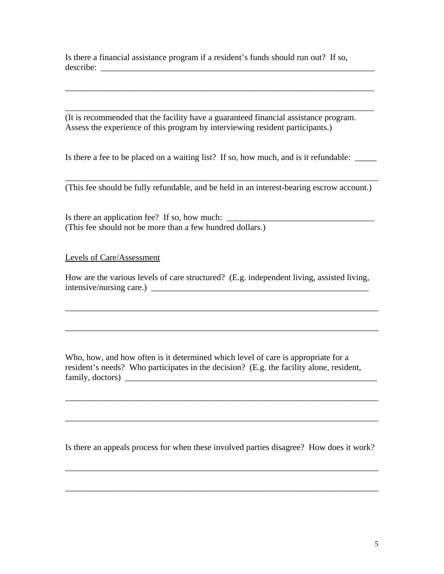Is there a financial assistance program if a resident's funds should run out? If so, describe:

(It is recommended that the facility have a guaranteed financial assistance program. Assess the experience of this program by interviewing resident participants.)

Is there a fee to be placed on a waiting list? If so, how much, and is it refundable: \_\_\_\_\_\_

\_\_\_\_\_\_\_\_\_\_\_\_\_\_\_\_\_\_\_\_\_\_\_\_\_\_\_\_\_\_\_\_\_\_\_\_\_\_\_\_\_\_\_\_\_\_\_\_\_\_\_\_\_\_\_\_\_\_\_\_\_\_\_\_\_\_\_\_\_\_\_

\_\_\_\_\_\_\_\_\_\_\_\_\_\_\_\_\_\_\_\_\_\_\_\_\_\_\_\_\_\_\_\_\_\_\_\_\_\_\_\_\_\_\_\_\_\_\_\_\_\_\_\_\_\_\_\_\_\_\_\_\_\_\_\_\_\_\_\_\_\_\_

\_\_\_\_\_\_\_\_\_\_\_\_\_\_\_\_\_\_\_\_\_\_\_\_\_\_\_\_\_\_\_\_\_\_\_\_\_\_\_\_\_\_\_\_\_\_\_\_\_\_\_\_\_\_\_\_\_\_\_\_\_\_\_\_\_\_\_\_\_\_\_\_ (This fee should be fully refundable, and be held in an interest-bearing escrow account.)

Is there an application fee? If so, how much:  $\frac{1}{\sqrt{1-\frac{1}{2}}\sqrt{1-\frac{1}{2}}\sqrt{1-\frac{1}{2}}\sqrt{1-\frac{1}{2}}\sqrt{1-\frac{1}{2}}\sqrt{1-\frac{1}{2}}\sqrt{1-\frac{1}{2}}\sqrt{1-\frac{1}{2}}\sqrt{1-\frac{1}{2}}\sqrt{1-\frac{1}{2}}\sqrt{1-\frac{1}{2}}\sqrt{1-\frac{1}{2}}\sqrt{1-\frac{1}{2}}\sqrt{1-\frac{1}{2}}\sqrt{1-\frac{1}{2}}\sqrt{1$ (This fee should not be more than a few hundred dollars.)

Levels of Care/Assessment

How are the various levels of care structured? (E.g. independent living, assisted living, intensive/nursing care.)

\_\_\_\_\_\_\_\_\_\_\_\_\_\_\_\_\_\_\_\_\_\_\_\_\_\_\_\_\_\_\_\_\_\_\_\_\_\_\_\_\_\_\_\_\_\_\_\_\_\_\_\_\_\_\_\_\_\_\_\_\_\_\_\_\_\_\_\_\_\_\_\_

\_\_\_\_\_\_\_\_\_\_\_\_\_\_\_\_\_\_\_\_\_\_\_\_\_\_\_\_\_\_\_\_\_\_\_\_\_\_\_\_\_\_\_\_\_\_\_\_\_\_\_\_\_\_\_\_\_\_\_\_\_\_\_\_\_\_\_\_\_\_\_\_

Who, how, and how often is it determined which level of care is appropriate for a resident's needs? Who participates in the decision? (E.g. the facility alone, resident, family, doctors) \_\_\_\_\_\_\_\_\_\_\_\_\_\_\_\_\_\_\_\_\_\_\_\_\_\_\_\_\_\_\_\_\_\_\_\_\_\_\_\_\_\_\_\_\_\_\_\_\_\_\_\_\_\_\_\_\_\_

Is there an appeals process for when these involved parties disagree? How does it work?

\_\_\_\_\_\_\_\_\_\_\_\_\_\_\_\_\_\_\_\_\_\_\_\_\_\_\_\_\_\_\_\_\_\_\_\_\_\_\_\_\_\_\_\_\_\_\_\_\_\_\_\_\_\_\_\_\_\_\_\_\_\_\_\_\_\_\_\_\_\_\_\_

\_\_\_\_\_\_\_\_\_\_\_\_\_\_\_\_\_\_\_\_\_\_\_\_\_\_\_\_\_\_\_\_\_\_\_\_\_\_\_\_\_\_\_\_\_\_\_\_\_\_\_\_\_\_\_\_\_\_\_\_\_\_\_\_\_\_\_\_\_\_\_\_

\_\_\_\_\_\_\_\_\_\_\_\_\_\_\_\_\_\_\_\_\_\_\_\_\_\_\_\_\_\_\_\_\_\_\_\_\_\_\_\_\_\_\_\_\_\_\_\_\_\_\_\_\_\_\_\_\_\_\_\_\_\_\_\_\_\_\_\_\_\_\_\_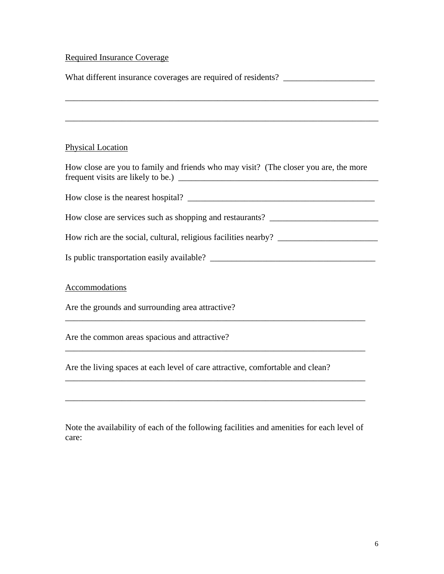# Required Insurance Coverage

| What different insurance coverages are required of residents? ___________________    |  |
|--------------------------------------------------------------------------------------|--|
|                                                                                      |  |
|                                                                                      |  |
|                                                                                      |  |
| <b>Physical Location</b>                                                             |  |
| How close are you to family and friends who may visit? (The closer you are, the more |  |
|                                                                                      |  |
| How close are services such as shopping and restaurants? ________________________    |  |
|                                                                                      |  |
|                                                                                      |  |
| Accommodations                                                                       |  |
| Are the grounds and surrounding area attractive?                                     |  |
| Are the common areas spacious and attractive?                                        |  |
| Are the living spaces at each level of care attractive, comfortable and clean?       |  |
|                                                                                      |  |

Note the availability of each of the following facilities and amenities for each level of care: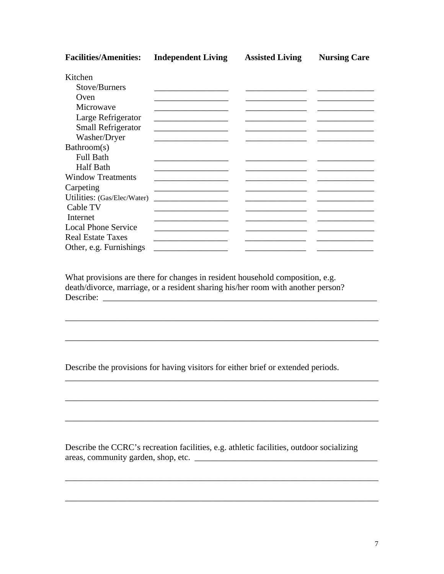**Facilities/Amenities: Independent Living Assisted Living Nursing Care**  Kitchen Stove/Burners \_\_\_\_\_\_\_\_\_\_\_\_\_\_\_\_\_ \_\_\_\_\_\_\_\_\_\_\_\_\_\_ \_\_\_\_\_\_\_\_\_\_\_\_\_ Oven \_\_\_\_\_\_\_\_\_\_\_\_\_\_\_\_\_ \_\_\_\_\_\_\_\_\_\_\_\_\_\_ \_\_\_\_\_\_\_\_\_\_\_\_\_ Microwave \_\_\_\_\_\_\_\_\_\_\_\_\_\_\_\_\_ \_\_\_\_\_\_\_\_\_\_\_\_\_\_ \_\_\_\_\_\_\_\_\_\_\_\_\_ Large Refrigerator \_\_\_\_\_\_\_\_\_\_\_\_\_\_\_\_\_ \_\_\_\_\_\_\_\_\_\_\_\_\_\_ \_\_\_\_\_\_\_\_\_\_\_\_\_ Small Refrigerator \_\_\_\_\_\_\_\_\_\_\_\_\_\_\_\_\_ \_\_\_\_\_\_\_\_\_\_\_\_\_\_ \_\_\_\_\_\_\_\_\_\_\_\_\_ Washer/Dryer \_\_\_\_\_\_\_\_\_\_\_\_\_\_\_\_\_ \_\_\_\_\_\_\_\_\_\_\_\_\_\_ \_\_\_\_\_\_\_\_\_\_\_\_\_ Bathroom(s) Full Bath \_\_\_\_\_\_\_\_\_\_\_\_\_\_\_\_\_ \_\_\_\_\_\_\_\_\_\_\_\_\_\_ \_\_\_\_\_\_\_\_\_\_\_\_\_ Half Bath \_\_\_\_\_\_\_\_\_\_\_\_\_\_\_\_\_ \_\_\_\_\_\_\_\_\_\_\_\_\_\_ \_\_\_\_\_\_\_\_\_\_\_\_\_ Window Treatments \_\_\_\_\_\_\_\_\_\_\_\_\_\_\_\_\_ \_\_\_\_\_\_\_\_\_\_\_\_\_\_ \_\_\_\_\_\_\_\_\_\_\_\_\_  $Carpeting$   $\qquad \qquad \qquad \qquad$ Utilities: (Gas/Elec/Water) \_\_\_\_\_\_\_\_\_\_\_\_\_\_\_\_\_ \_\_\_\_\_\_\_\_\_\_\_\_\_\_ \_\_\_\_\_\_\_\_\_\_\_\_\_ Cable TV \_\_\_\_\_\_\_\_\_\_\_\_\_\_\_\_\_ \_\_\_\_\_\_\_\_\_\_\_\_\_\_ \_\_\_\_\_\_\_\_\_\_\_\_\_ Internet \_\_\_\_\_\_\_\_\_\_\_\_\_\_\_\_\_ \_\_\_\_\_\_\_\_\_\_\_\_\_\_ \_\_\_\_\_\_\_\_\_\_\_\_\_ Local Phone Service Real Estate Taxes \_\_\_\_\_\_\_\_\_\_\_\_\_\_\_\_\_ \_\_\_\_\_\_\_\_\_\_\_\_\_\_ \_\_\_\_\_\_\_\_\_\_\_\_\_ Other, e.g. Furnishings \_\_\_\_\_\_\_\_\_\_\_\_\_\_\_\_\_ \_\_\_\_\_\_\_\_\_\_\_\_\_\_ \_\_\_\_\_\_\_\_\_\_\_\_\_

What provisions are there for changes in resident household composition, e.g. death/divorce, marriage, or a resident sharing his/her room with another person? Describe: \_\_\_\_\_\_\_\_\_\_\_\_\_\_\_\_\_\_\_\_\_\_\_\_\_\_\_\_\_\_\_\_\_\_\_\_\_\_\_\_\_\_\_\_\_\_\_\_\_\_\_\_\_\_\_\_\_\_\_\_\_\_\_

\_\_\_\_\_\_\_\_\_\_\_\_\_\_\_\_\_\_\_\_\_\_\_\_\_\_\_\_\_\_\_\_\_\_\_\_\_\_\_\_\_\_\_\_\_\_\_\_\_\_\_\_\_\_\_\_\_\_\_\_\_\_\_\_\_\_\_\_\_\_\_\_

\_\_\_\_\_\_\_\_\_\_\_\_\_\_\_\_\_\_\_\_\_\_\_\_\_\_\_\_\_\_\_\_\_\_\_\_\_\_\_\_\_\_\_\_\_\_\_\_\_\_\_\_\_\_\_\_\_\_\_\_\_\_\_\_\_\_\_\_\_\_\_\_

\_\_\_\_\_\_\_\_\_\_\_\_\_\_\_\_\_\_\_\_\_\_\_\_\_\_\_\_\_\_\_\_\_\_\_\_\_\_\_\_\_\_\_\_\_\_\_\_\_\_\_\_\_\_\_\_\_\_\_\_\_\_\_\_\_\_\_\_\_\_\_\_

\_\_\_\_\_\_\_\_\_\_\_\_\_\_\_\_\_\_\_\_\_\_\_\_\_\_\_\_\_\_\_\_\_\_\_\_\_\_\_\_\_\_\_\_\_\_\_\_\_\_\_\_\_\_\_\_\_\_\_\_\_\_\_\_\_\_\_\_\_\_\_\_

\_\_\_\_\_\_\_\_\_\_\_\_\_\_\_\_\_\_\_\_\_\_\_\_\_\_\_\_\_\_\_\_\_\_\_\_\_\_\_\_\_\_\_\_\_\_\_\_\_\_\_\_\_\_\_\_\_\_\_\_\_\_\_\_\_\_\_\_\_\_\_\_

\_\_\_\_\_\_\_\_\_\_\_\_\_\_\_\_\_\_\_\_\_\_\_\_\_\_\_\_\_\_\_\_\_\_\_\_\_\_\_\_\_\_\_\_\_\_\_\_\_\_\_\_\_\_\_\_\_\_\_\_\_\_\_\_\_\_\_\_\_\_\_\_

\_\_\_\_\_\_\_\_\_\_\_\_\_\_\_\_\_\_\_\_\_\_\_\_\_\_\_\_\_\_\_\_\_\_\_\_\_\_\_\_\_\_\_\_\_\_\_\_\_\_\_\_\_\_\_\_\_\_\_\_\_\_\_\_\_\_\_\_\_\_\_\_

Describe the provisions for having visitors for either brief or extended periods.

Describe the CCRC's recreation facilities, e.g. athletic facilities, outdoor socializing areas, community garden, shop, etc. \_\_\_\_\_\_\_\_\_\_\_\_\_\_\_\_\_\_\_\_\_\_\_\_\_\_\_\_\_\_\_\_\_\_\_\_\_\_\_\_\_\_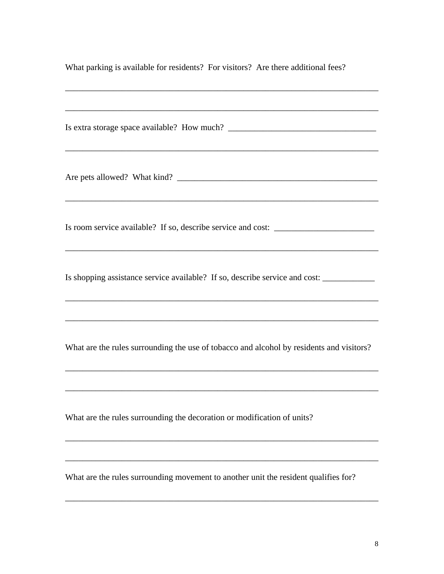| What parking is available for residents? For visitors? Are there additional fees? |  |  |
|-----------------------------------------------------------------------------------|--|--|
|-----------------------------------------------------------------------------------|--|--|

\_\_\_\_\_\_\_\_\_\_\_\_\_\_\_\_\_\_\_\_\_\_\_\_\_\_\_\_\_\_\_\_\_\_\_\_\_\_\_\_\_\_\_\_\_\_\_\_\_\_\_\_\_\_\_\_\_\_\_\_\_\_\_\_\_\_\_\_\_\_\_\_

| Is room service available? If so, describe service and cost: ____________________                    |
|------------------------------------------------------------------------------------------------------|
| Is shopping assistance service available? If so, describe service and cost: ________________________ |
| What are the rules surrounding the use of tobacco and alcohol by residents and visitors?             |
| What are the rules surrounding the decoration or modification of units?                              |
| What are the rules surrounding movement to another unit the resident qualifies for?                  |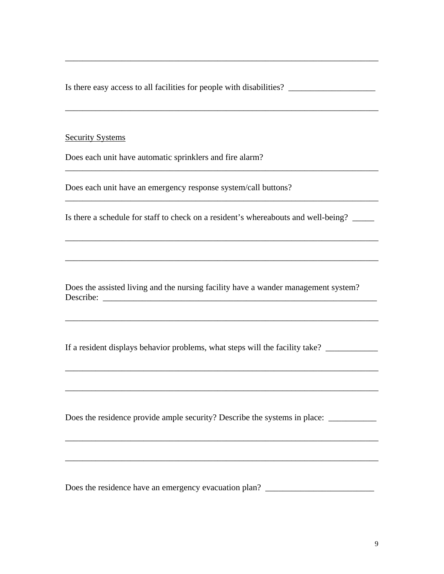Is there easy access to all facilities for people with disabilities? \_\_\_\_\_\_\_\_\_\_\_\_

\_\_\_\_\_\_\_\_\_\_\_\_\_\_\_\_\_\_\_\_\_\_\_\_\_\_\_\_\_\_\_\_\_\_\_\_\_\_\_\_\_\_\_\_\_\_\_\_\_\_\_\_\_\_\_\_\_\_\_\_\_\_\_\_\_\_\_\_\_\_\_\_

\_\_\_\_\_\_\_\_\_\_\_\_\_\_\_\_\_\_\_\_\_\_\_\_\_\_\_\_\_\_\_\_\_\_\_\_\_\_\_\_\_\_\_\_\_\_\_\_\_\_\_\_\_\_\_\_\_\_\_\_\_\_\_\_\_\_\_\_\_\_\_\_

 $\mathcal{L}_\text{max} = \mathcal{L}_\text{max} = \mathcal{L}_\text{max} = \mathcal{L}_\text{max} = \mathcal{L}_\text{max} = \mathcal{L}_\text{max} = \mathcal{L}_\text{max} = \mathcal{L}_\text{max} = \mathcal{L}_\text{max} = \mathcal{L}_\text{max} = \mathcal{L}_\text{max} = \mathcal{L}_\text{max} = \mathcal{L}_\text{max} = \mathcal{L}_\text{max} = \mathcal{L}_\text{max} = \mathcal{L}_\text{max} = \mathcal{L}_\text{max} = \mathcal{L}_\text{max} = \mathcal{$ 

\_\_\_\_\_\_\_\_\_\_\_\_\_\_\_\_\_\_\_\_\_\_\_\_\_\_\_\_\_\_\_\_\_\_\_\_\_\_\_\_\_\_\_\_\_\_\_\_\_\_\_\_\_\_\_\_\_\_\_\_\_\_\_\_\_\_\_\_\_\_\_\_

#### Security Systems

Does each unit have automatic sprinklers and fire alarm?

Does each unit have an emergency response system/call buttons?

Is there a schedule for staff to check on a resident's whereabouts and well-being? \_\_\_\_\_

\_\_\_\_\_\_\_\_\_\_\_\_\_\_\_\_\_\_\_\_\_\_\_\_\_\_\_\_\_\_\_\_\_\_\_\_\_\_\_\_\_\_\_\_\_\_\_\_\_\_\_\_\_\_\_\_\_\_\_\_\_\_\_\_\_\_\_\_\_\_\_\_

\_\_\_\_\_\_\_\_\_\_\_\_\_\_\_\_\_\_\_\_\_\_\_\_\_\_\_\_\_\_\_\_\_\_\_\_\_\_\_\_\_\_\_\_\_\_\_\_\_\_\_\_\_\_\_\_\_\_\_\_\_\_\_\_\_\_\_\_\_\_\_\_

Does the assisted living and the nursing facility have a wander management system? Describe: \_\_\_\_\_\_\_\_\_\_\_\_\_\_\_\_\_\_\_\_\_\_\_\_\_\_\_\_\_\_\_\_\_\_\_\_\_\_\_\_\_\_\_\_\_\_\_\_\_\_\_\_\_\_\_\_\_\_\_\_\_\_\_

If a resident displays behavior problems, what steps will the facility take? \_\_\_\_\_\_\_\_\_\_\_\_

\_\_\_\_\_\_\_\_\_\_\_\_\_\_\_\_\_\_\_\_\_\_\_\_\_\_\_\_\_\_\_\_\_\_\_\_\_\_\_\_\_\_\_\_\_\_\_\_\_\_\_\_\_\_\_\_\_\_\_\_\_\_\_\_\_\_\_\_\_\_\_\_

\_\_\_\_\_\_\_\_\_\_\_\_\_\_\_\_\_\_\_\_\_\_\_\_\_\_\_\_\_\_\_\_\_\_\_\_\_\_\_\_\_\_\_\_\_\_\_\_\_\_\_\_\_\_\_\_\_\_\_\_\_\_\_\_\_\_\_\_\_\_\_\_

\_\_\_\_\_\_\_\_\_\_\_\_\_\_\_\_\_\_\_\_\_\_\_\_\_\_\_\_\_\_\_\_\_\_\_\_\_\_\_\_\_\_\_\_\_\_\_\_\_\_\_\_\_\_\_\_\_\_\_\_\_\_\_\_\_\_\_\_\_\_\_\_

\_\_\_\_\_\_\_\_\_\_\_\_\_\_\_\_\_\_\_\_\_\_\_\_\_\_\_\_\_\_\_\_\_\_\_\_\_\_\_\_\_\_\_\_\_\_\_\_\_\_\_\_\_\_\_\_\_\_\_\_\_\_\_\_\_\_\_\_\_\_\_\_

\_\_\_\_\_\_\_\_\_\_\_\_\_\_\_\_\_\_\_\_\_\_\_\_\_\_\_\_\_\_\_\_\_\_\_\_\_\_\_\_\_\_\_\_\_\_\_\_\_\_\_\_\_\_\_\_\_\_\_\_\_\_\_\_\_\_\_\_\_\_\_\_

Does the residence provide ample security? Describe the systems in place: \_\_\_\_\_\_\_\_\_\_\_\_\_

Does the residence have an emergency evacuation plan? \_\_\_\_\_\_\_\_\_\_\_\_\_\_\_\_\_\_\_\_\_\_\_\_\_\_\_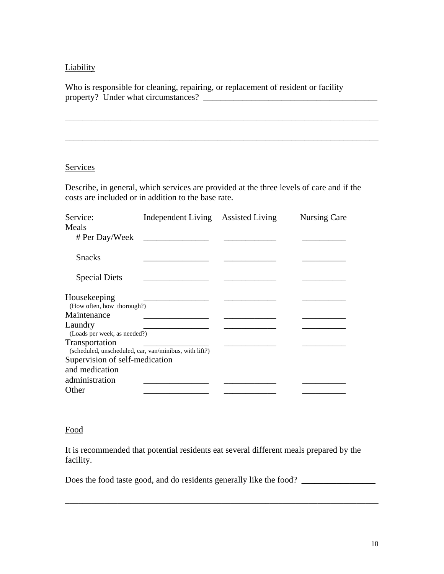## **Liability**

Who is responsible for cleaning, repairing, or replacement of resident or facility property? Under what circumstances?

#### Services

Describe, in general, which services are provided at the three levels of care and if the costs are included or in addition to the base rate.

\_\_\_\_\_\_\_\_\_\_\_\_\_\_\_\_\_\_\_\_\_\_\_\_\_\_\_\_\_\_\_\_\_\_\_\_\_\_\_\_\_\_\_\_\_\_\_\_\_\_\_\_\_\_\_\_\_\_\_\_\_\_\_\_\_\_\_\_\_\_\_\_

| Service:                                               | Independent Living Assisted Living | <b>Nursing Care</b> |
|--------------------------------------------------------|------------------------------------|---------------------|
| Meals                                                  |                                    |                     |
| # Per Day/Week                                         |                                    |                     |
| <b>Snacks</b>                                          |                                    |                     |
| <b>Special Diets</b>                                   |                                    |                     |
| Housekeeping                                           |                                    |                     |
| (How often, how thorough?)                             |                                    |                     |
| Maintenance                                            |                                    |                     |
| Laundry                                                |                                    |                     |
| (Loads per week, as needed?)                           |                                    |                     |
| Transportation                                         |                                    |                     |
| (scheduled, unscheduled, car, van/minibus, with lift?) |                                    |                     |
| Supervision of self-medication                         |                                    |                     |
| and medication                                         |                                    |                     |
| administration                                         |                                    |                     |
| Other                                                  |                                    |                     |

#### Food

It is recommended that potential residents eat several different meals prepared by the facility.

Does the food taste good, and do residents generally like the food?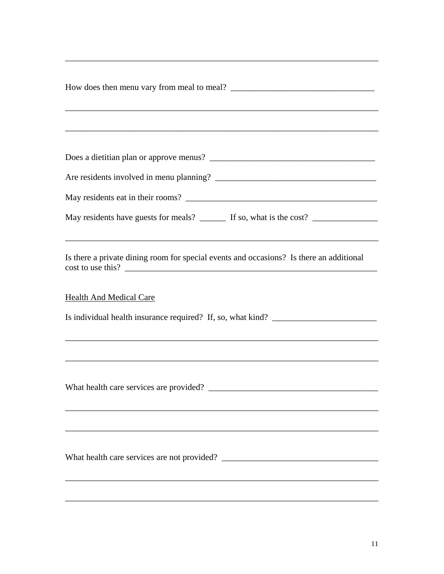| May residents have guests for meals? _______ If so, what is the cost? ___________                                  |  |
|--------------------------------------------------------------------------------------------------------------------|--|
|                                                                                                                    |  |
| Is there a private dining room for special events and occasions? Is there an additional<br>cost to use this?       |  |
| <b>Health And Medical Care</b><br>Is individual health insurance required? If, so, what kind? ____________________ |  |
| ,我们也不会有什么。""我们的人,我们也不会有什么?""我们的人,我们也不会有什么?""我们的人,我们也不会有什么?""我们的人,我们也不会有什么?""我们的人                                   |  |
|                                                                                                                    |  |
|                                                                                                                    |  |
|                                                                                                                    |  |
|                                                                                                                    |  |
|                                                                                                                    |  |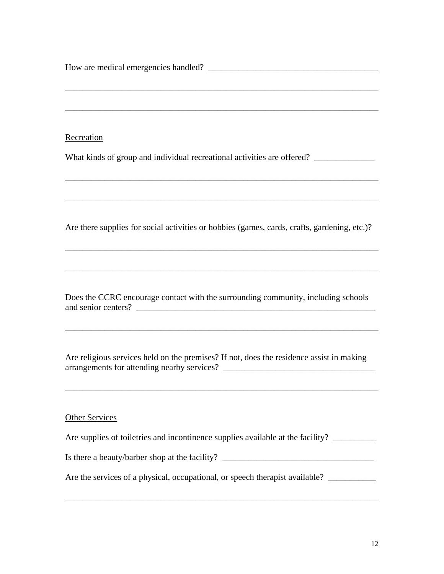| Recreation<br>What kinds of group and individual recreational activities are offered?        |
|----------------------------------------------------------------------------------------------|
|                                                                                              |
| Are there supplies for social activities or hobbies (games, cards, crafts, gardening, etc.)? |
|                                                                                              |
| Does the CCRC encourage contact with the surrounding community, including schools            |
| Are religious services held on the premises? If not, does the residence assist in making     |
| <b>Other Services</b>                                                                        |

| Are supplies of toiletries and incontinence supplies available at the facility? |  |
|---------------------------------------------------------------------------------|--|
| Is there a beauty/barber shop at the facility?                                  |  |
| Are the services of a physical, occupational, or speech therapist available?    |  |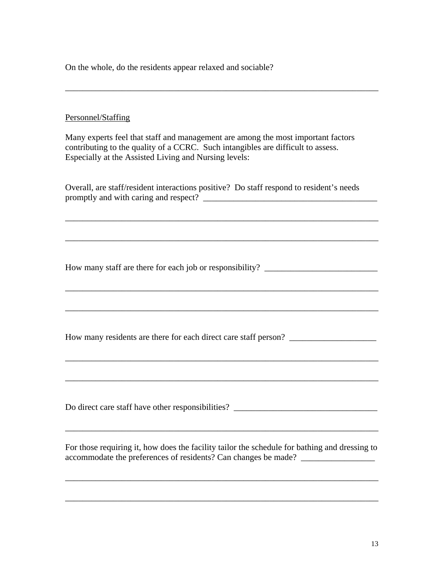On the whole, do the residents appear relaxed and sociable?

## Personnel/Staffing

Many experts feel that staff and management are among the most important factors contributing to the quality of a CCRC. Such intangibles are difficult to assess. Especially at the Assisted Living and Nursing levels:

\_\_\_\_\_\_\_\_\_\_\_\_\_\_\_\_\_\_\_\_\_\_\_\_\_\_\_\_\_\_\_\_\_\_\_\_\_\_\_\_\_\_\_\_\_\_\_\_\_\_\_\_\_\_\_\_\_\_\_\_\_\_\_\_\_\_\_\_\_\_\_\_

Overall, are staff/resident interactions positive? Do staff respond to resident's needs promptly and with caring and respect?  $\Box$ 

\_\_\_\_\_\_\_\_\_\_\_\_\_\_\_\_\_\_\_\_\_\_\_\_\_\_\_\_\_\_\_\_\_\_\_\_\_\_\_\_\_\_\_\_\_\_\_\_\_\_\_\_\_\_\_\_\_\_\_\_\_\_\_\_\_\_\_\_\_\_\_\_

\_\_\_\_\_\_\_\_\_\_\_\_\_\_\_\_\_\_\_\_\_\_\_\_\_\_\_\_\_\_\_\_\_\_\_\_\_\_\_\_\_\_\_\_\_\_\_\_\_\_\_\_\_\_\_\_\_\_\_\_\_\_\_\_\_\_\_\_\_\_\_\_

\_\_\_\_\_\_\_\_\_\_\_\_\_\_\_\_\_\_\_\_\_\_\_\_\_\_\_\_\_\_\_\_\_\_\_\_\_\_\_\_\_\_\_\_\_\_\_\_\_\_\_\_\_\_\_\_\_\_\_\_\_\_\_\_\_\_\_\_\_\_\_\_

\_\_\_\_\_\_\_\_\_\_\_\_\_\_\_\_\_\_\_\_\_\_\_\_\_\_\_\_\_\_\_\_\_\_\_\_\_\_\_\_\_\_\_\_\_\_\_\_\_\_\_\_\_\_\_\_\_\_\_\_\_\_\_\_\_\_\_\_\_\_\_\_

How many staff are there for each job or responsibility?

How many residents are there for each direct care staff person? \_\_\_\_\_\_\_\_\_\_\_\_\_\_\_\_\_

Do direct care staff have other responsibilities? \_\_\_\_\_\_\_\_\_\_\_\_\_\_\_\_\_\_\_\_\_\_\_\_\_\_\_\_\_\_

\_\_\_\_\_\_\_\_\_\_\_\_\_\_\_\_\_\_\_\_\_\_\_\_\_\_\_\_\_\_\_\_\_\_\_\_\_\_\_\_\_\_\_\_\_\_\_\_\_\_\_\_\_\_\_\_\_\_\_\_\_\_\_\_\_\_\_\_\_\_\_\_

For those requiring it, how does the facility tailor the schedule for bathing and dressing to accommodate the preferences of residents? Can changes be made? \_\_\_\_\_\_\_\_\_\_\_\_\_\_\_\_\_\_

\_\_\_\_\_\_\_\_\_\_\_\_\_\_\_\_\_\_\_\_\_\_\_\_\_\_\_\_\_\_\_\_\_\_\_\_\_\_\_\_\_\_\_\_\_\_\_\_\_\_\_\_\_\_\_\_\_\_\_\_\_\_\_\_\_\_\_\_\_\_\_\_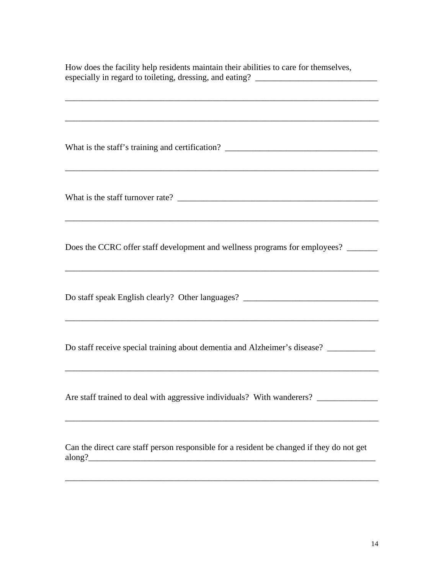| How does the facility help residents maintain their abilities to care for themselves,<br>especially in regard to toileting, dressing, and eating? _______________________                                        |
|------------------------------------------------------------------------------------------------------------------------------------------------------------------------------------------------------------------|
|                                                                                                                                                                                                                  |
|                                                                                                                                                                                                                  |
| ,我们也不会有什么。""我们的人,我们也不会有什么?""我们的人,我们也不会有什么?""我们的人,我们也不会有什么?""我们的人,我们也不会有什么?""我们的人                                                                                                                                 |
|                                                                                                                                                                                                                  |
| Does the CCRC offer staff development and wellness programs for employees?                                                                                                                                       |
| Do staff speak English clearly? Other languages? _______________________________                                                                                                                                 |
| Do staff receive special training about dementia and Alzheimer's disease?                                                                                                                                        |
| Are staff trained to deal with aggressive individuals? With wanderers? _______________<br><u> 1989 - Johann Stoff, deutscher Stoffen und der Stoffen und der Stoffen und der Stoffen und der Stoffen und der</u> |
| Can the direct care staff person responsible for a resident be changed if they do not get                                                                                                                        |
|                                                                                                                                                                                                                  |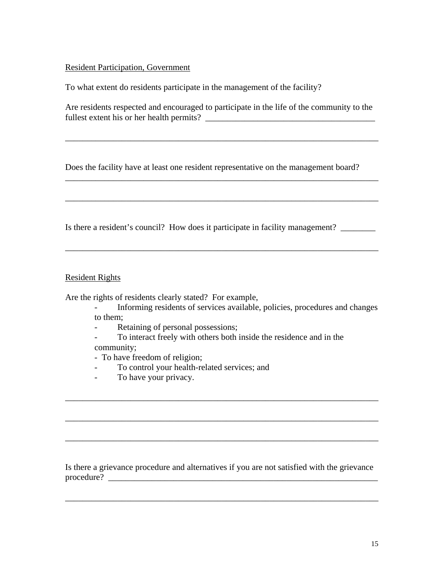#### Resident Participation, Government

To what extent do residents participate in the management of the facility?

Are residents respected and encouraged to participate in the life of the community to the fullest extent his or her health permits? \_\_\_\_\_\_\_\_\_\_\_\_\_\_\_\_\_\_\_\_\_\_\_\_\_\_\_\_\_\_\_\_\_\_\_\_\_\_\_

\_\_\_\_\_\_\_\_\_\_\_\_\_\_\_\_\_\_\_\_\_\_\_\_\_\_\_\_\_\_\_\_\_\_\_\_\_\_\_\_\_\_\_\_\_\_\_\_\_\_\_\_\_\_\_\_\_\_\_\_\_\_\_\_\_\_\_\_\_\_\_\_

\_\_\_\_\_\_\_\_\_\_\_\_\_\_\_\_\_\_\_\_\_\_\_\_\_\_\_\_\_\_\_\_\_\_\_\_\_\_\_\_\_\_\_\_\_\_\_\_\_\_\_\_\_\_\_\_\_\_\_\_\_\_\_\_\_\_\_\_\_\_\_\_

\_\_\_\_\_\_\_\_\_\_\_\_\_\_\_\_\_\_\_\_\_\_\_\_\_\_\_\_\_\_\_\_\_\_\_\_\_\_\_\_\_\_\_\_\_\_\_\_\_\_\_\_\_\_\_\_\_\_\_\_\_\_\_\_\_\_\_\_\_\_\_\_

\_\_\_\_\_\_\_\_\_\_\_\_\_\_\_\_\_\_\_\_\_\_\_\_\_\_\_\_\_\_\_\_\_\_\_\_\_\_\_\_\_\_\_\_\_\_\_\_\_\_\_\_\_\_\_\_\_\_\_\_\_\_\_\_\_\_\_\_\_\_\_\_

Does the facility have at least one resident representative on the management board?

Is there a resident's council? How does it participate in facility management?

#### Resident Rights

Are the rights of residents clearly stated? For example,

- Informing residents of services available, policies, procedures and changes to them;
- Retaining of personal possessions;

- To interact freely with others both inside the residence and in the community;

\_\_\_\_\_\_\_\_\_\_\_\_\_\_\_\_\_\_\_\_\_\_\_\_\_\_\_\_\_\_\_\_\_\_\_\_\_\_\_\_\_\_\_\_\_\_\_\_\_\_\_\_\_\_\_\_\_\_\_\_\_\_\_\_\_\_\_\_\_\_\_\_

\_\_\_\_\_\_\_\_\_\_\_\_\_\_\_\_\_\_\_\_\_\_\_\_\_\_\_\_\_\_\_\_\_\_\_\_\_\_\_\_\_\_\_\_\_\_\_\_\_\_\_\_\_\_\_\_\_\_\_\_\_\_\_\_\_\_\_\_\_\_\_\_

\_\_\_\_\_\_\_\_\_\_\_\_\_\_\_\_\_\_\_\_\_\_\_\_\_\_\_\_\_\_\_\_\_\_\_\_\_\_\_\_\_\_\_\_\_\_\_\_\_\_\_\_\_\_\_\_\_\_\_\_\_\_\_\_\_\_\_\_\_\_\_\_

- To have freedom of religion;
	- To control your health-related services; and
- To have your privacy.

Is there a grievance procedure and alternatives if you are not satisfied with the grievance  $procedure?$